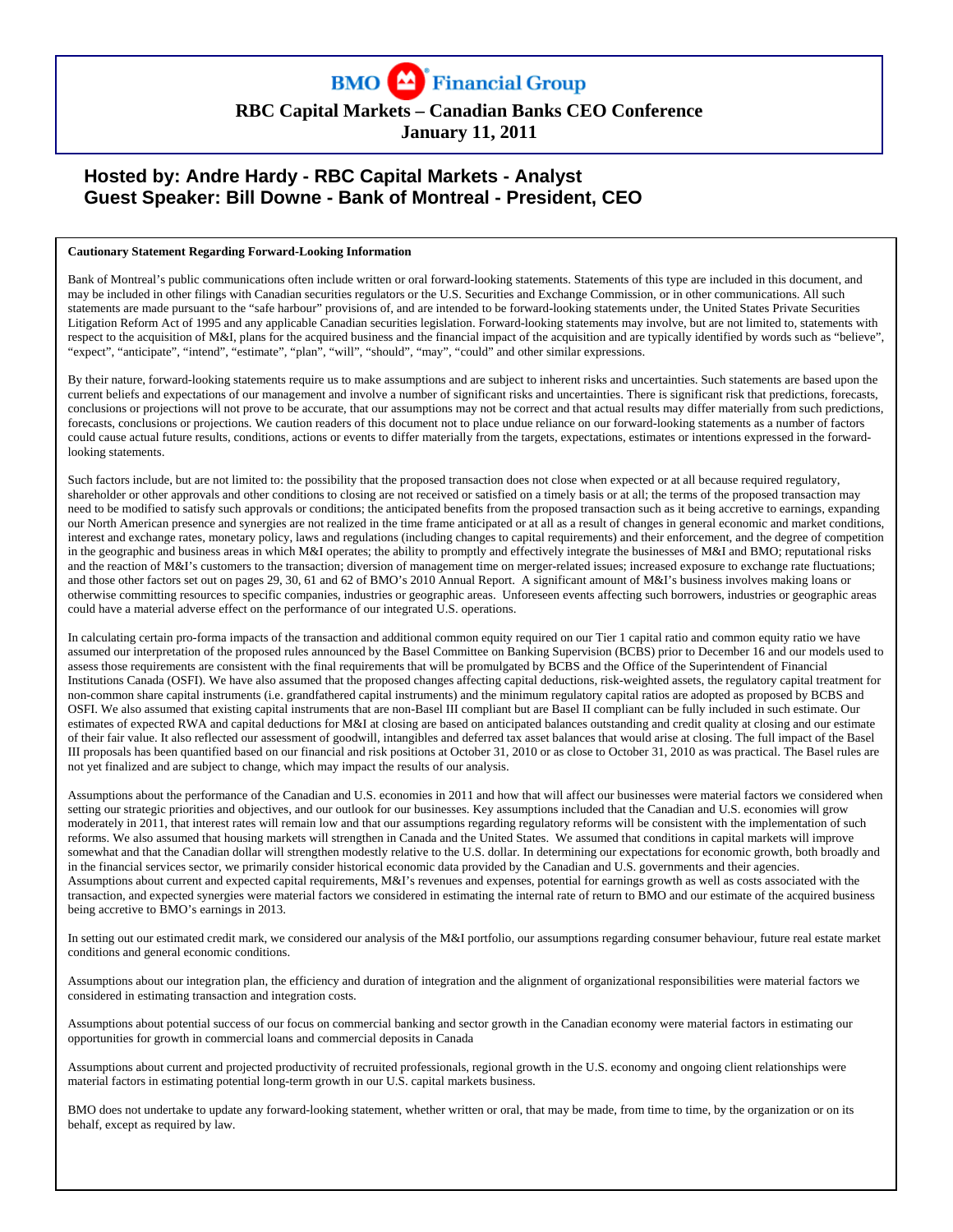

# **RBC Capital Markets – Canadian Banks CEO Conference**

**January 11, 2011** 

# **Hosted by: Andre Hardy - RBC Capital Markets - Analyst Guest Speaker: Bill Downe - Bank of Montreal - President, CEO**

#### **Cautionary Statement Regarding Forward-Looking Information**

Bank of Montreal's public communications often include written or oral forward-looking statements. Statements of this type are included in this document, and may be included in other filings with Canadian securities regulators or the U.S. Securities and Exchange Commission, or in other communications. All such statements are made pursuant to the "safe harbour" provisions of, and are intended to be forward-looking statements under, the United States Private Securities Litigation Reform Act of 1995 and any applicable Canadian securities legislation. Forward-looking statements may involve, but are not limited to, statements with respect to the acquisition of M&I, plans for the acquired business and the financial impact of the acquisition and are typically identified by words such as "believe", "expect", "anticipate", "intend", "estimate", "plan", "will", "should", "may", "could" and other similar expressions.

By their nature, forward-looking statements require us to make assumptions and are subject to inherent risks and uncertainties. Such statements are based upon the current beliefs and expectations of our management and involve a number of significant risks and uncertainties. There is significant risk that predictions, forecasts, conclusions or projections will not prove to be accurate, that our assumptions may not be correct and that actual results may differ materially from such predictions, forecasts, conclusions or projections. We caution readers of this document not to place undue reliance on our forward-looking statements as a number of factors could cause actual future results, conditions, actions or events to differ materially from the targets, expectations, estimates or intentions expressed in the forwardlooking statements.

Such factors include, but are not limited to: the possibility that the proposed transaction does not close when expected or at all because required regulatory, shareholder or other approvals and other conditions to closing are not received or satisfied on a timely basis or at all; the terms of the proposed transaction may need to be modified to satisfy such approvals or conditions; the anticipated benefits from the proposed transaction such as it being accretive to earnings, expanding our North American presence and synergies are not realized in the time frame anticipated or at all as a result of changes in general economic and market conditions, interest and exchange rates, monetary policy, laws and regulations (including changes to capital requirements) and their enforcement, and the degree of competition in the geographic and business areas in which M&I operates; the ability to promptly and effectively integrate the businesses of M&I and BMO; reputational risks and the reaction of M&I's customers to the transaction; diversion of management time on merger-related issues; increased exposure to exchange rate fluctuations; and those other factors set out on pages 29, 30, 61 and 62 of BMO's 2010 Annual Report. A significant amount of M&I's business involves making loans or otherwise committing resources to specific companies, industries or geographic areas. Unforeseen events affecting such borrowers, industries or geographic areas could have a material adverse effect on the performance of our integrated U.S. operations.

In calculating certain pro-forma impacts of the transaction and additional common equity required on our Tier 1 capital ratio and common equity ratio we have assumed our interpretation of the proposed rules announced by the Basel Committee on Banking Supervision (BCBS) prior to December 16 and our models used to assess those requirements are consistent with the final requirements that will be promulgated by BCBS and the Office of the Superintendent of Financial Institutions Canada (OSFI). We have also assumed that the proposed changes affecting capital deductions, risk-weighted assets, the regulatory capital treatment for non-common share capital instruments (i.e. grandfathered capital instruments) and the minimum regulatory capital ratios are adopted as proposed by BCBS and OSFI. We also assumed that existing capital instruments that are non-Basel III compliant but are Basel II compliant can be fully included in such estimate. Our estimates of expected RWA and capital deductions for M&I at closing are based on anticipated balances outstanding and credit quality at closing and our estimate of their fair value. It also reflected our assessment of goodwill, intangibles and deferred tax asset balances that would arise at closing. The full impact of the Basel III proposals has been quantified based on our financial and risk positions at October 31, 2010 or as close to October 31, 2010 as was practical. The Basel rules are not yet finalized and are subject to change, which may impact the results of our analysis.

Assumptions about the performance of the Canadian and U.S. economies in 2011 and how that will affect our businesses were material factors we considered when setting our strategic priorities and objectives, and our outlook for our businesses. Key assumptions included that the Canadian and U.S. economies will grow moderately in 2011, that interest rates will remain low and that our assumptions regarding regulatory reforms will be consistent with the implementation of such reforms. We also assumed that housing markets will strengthen in Canada and the United States. We assumed that conditions in capital markets will improve somewhat and that the Canadian dollar will strengthen modestly relative to the U.S. dollar. In determining our expectations for economic growth, both broadly and in the financial services sector, we primarily consider historical economic data provided by the Canadian and U.S. governments and their agencies. Assumptions about current and expected capital requirements, M&I's revenues and expenses, potential for earnings growth as well as costs associated with the transaction, and expected synergies were material factors we considered in estimating the internal rate of return to BMO and our estimate of the acquired business being accretive to BMO's earnings in 2013.

In setting out our estimated credit mark, we considered our analysis of the M&I portfolio, our assumptions regarding consumer behaviour, future real estate market conditions and general economic conditions.

Assumptions about our integration plan, the efficiency and duration of integration and the alignment of organizational responsibilities were material factors we considered in estimating transaction and integration costs.

Assumptions about potential success of our focus on commercial banking and sector growth in the Canadian economy were material factors in estimating our opportunities for growth in commercial loans and commercial deposits in Canada

Assumptions about current and projected productivity of recruited professionals, regional growth in the U.S. economy and ongoing client relationships were material factors in estimating potential long-term growth in our U.S. capital markets business.

BMO does not undertake to update any forward-looking statement, whether written or oral, that may be made, from time to time, by the organization or on its behalf, except as required by law.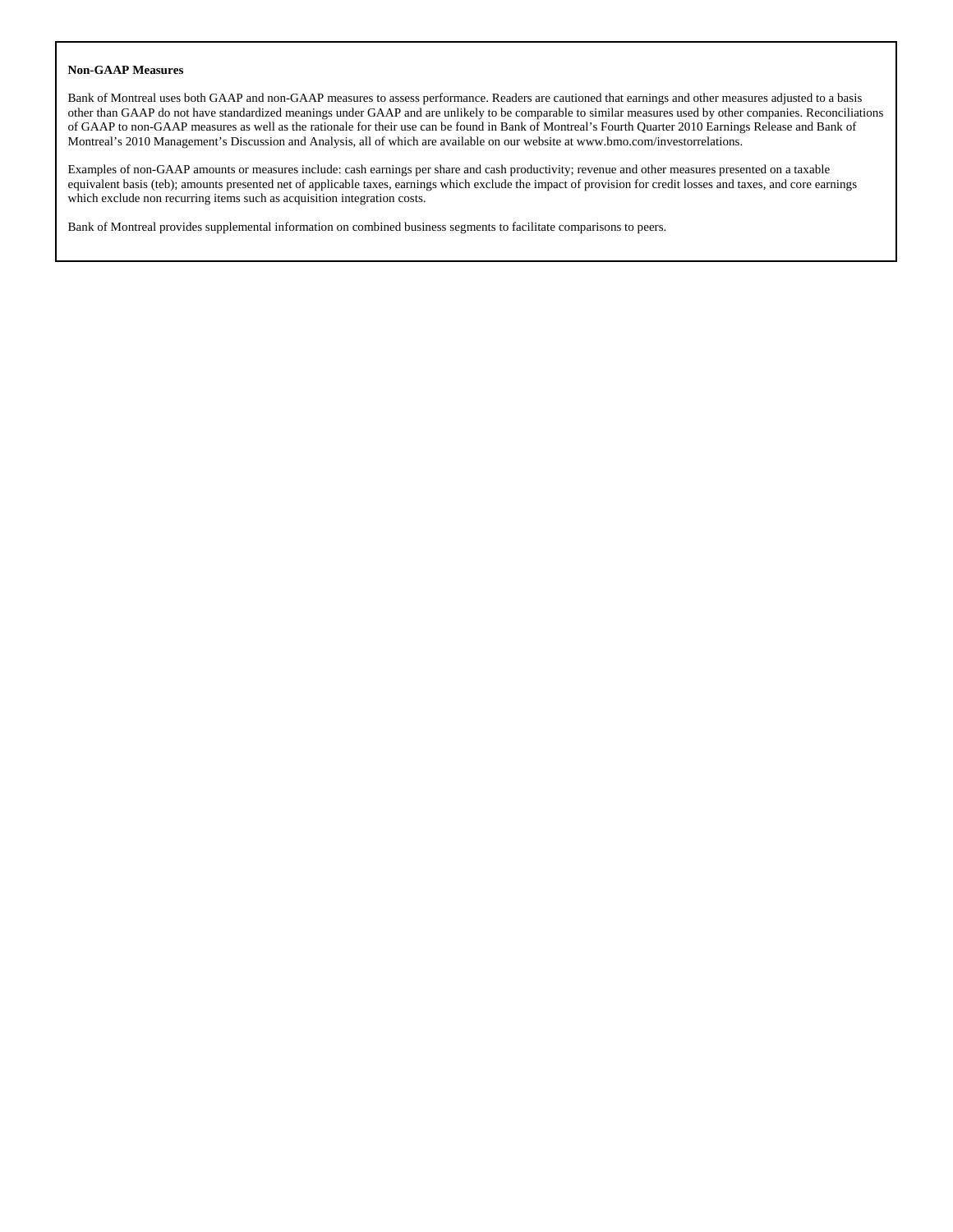#### **Non-GAAP Measures**

Bank of Montreal uses both GAAP and non-GAAP measures to assess performance. Readers are cautioned that earnings and other measures adjusted to a basis other than GAAP do not have standardized meanings under GAAP and are unlikely to be comparable to similar measures used by other companies. Reconciliations of GAAP to non-GAAP measures as well as the rationale for their use can be found in Bank of Montreal's Fourth Quarter 2010 Earnings Release and Bank of Montreal's 2010 Management's Discussion and Analysis, all of which are available on our website at www.bmo.com/investorrelations.

Examples of non-GAAP amounts or measures include: cash earnings per share and cash productivity; revenue and other measures presented on a taxable equivalent basis (teb); amounts presented net of applicable taxes, earnings which exclude the impact of provision for credit losses and taxes, and core earnings which exclude non recurring items such as acquisition integration costs.

Bank of Montreal provides supplemental information on combined business segments to facilitate comparisons to peers.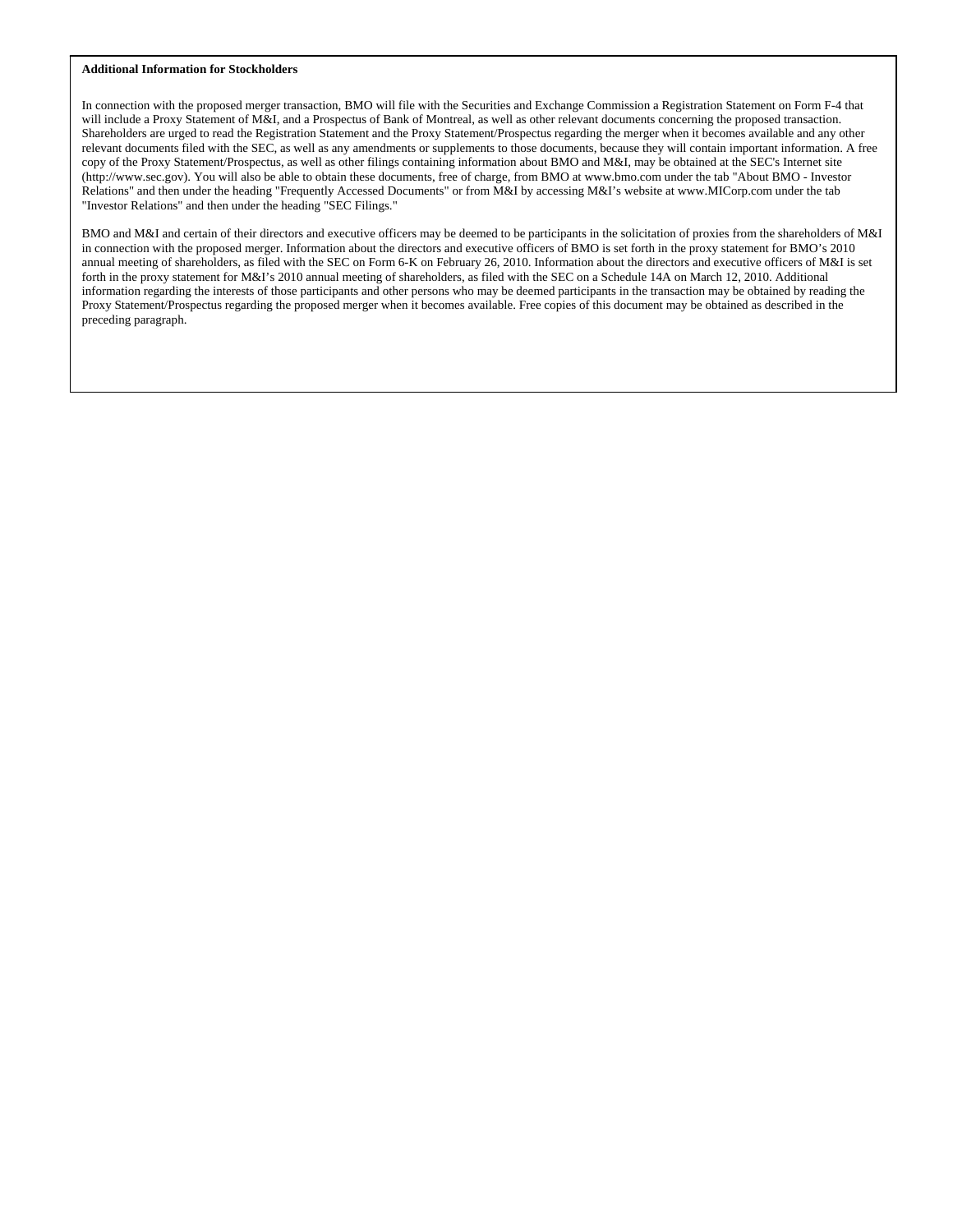#### **Additional Information for Stockholders**

In connection with the proposed merger transaction, BMO will file with the Securities and Exchange Commission a Registration Statement on Form F-4 that will include a Proxy Statement of M&I, and a Prospectus of Bank of Montreal, as well as other relevant documents concerning the proposed transaction. Shareholders are urged to read the Registration Statement and the Proxy Statement/Prospectus regarding the merger when it becomes available and any other relevant documents filed with the SEC, as well as any amendments or supplements to those documents, because they will contain important information. A free copy of the Proxy Statement/Prospectus, as well as other filings containing information about BMO and M&I, may be obtained at the SEC's Internet site (http://www.sec.gov). You will also be able to obtain these documents, free of charge, from BMO at www.bmo.com under the tab "About BMO - Investor Relations" and then under the heading "Frequently Accessed Documents" or from M&I by accessing M&I's website at www.MICorp.com under the tab "Investor Relations" and then under the heading "SEC Filings."

BMO and M&I and certain of their directors and executive officers may be deemed to be participants in the solicitation of proxies from the shareholders of M&I in connection with the proposed merger. Information about the directors and executive officers of BMO is set forth in the proxy statement for BMO's 2010 annual meeting of shareholders, as filed with the SEC on Form 6-K on February 26, 2010. Information about the directors and executive officers of M&I is set forth in the proxy statement for M&I's 2010 annual meeting of shareholders, as filed with the SEC on a Schedule 14A on March 12, 2010. Additional information regarding the interests of those participants and other persons who may be deemed participants in the transaction may be obtained by reading the Proxy Statement/Prospectus regarding the proposed merger when it becomes available. Free copies of this document may be obtained as described in the preceding paragraph.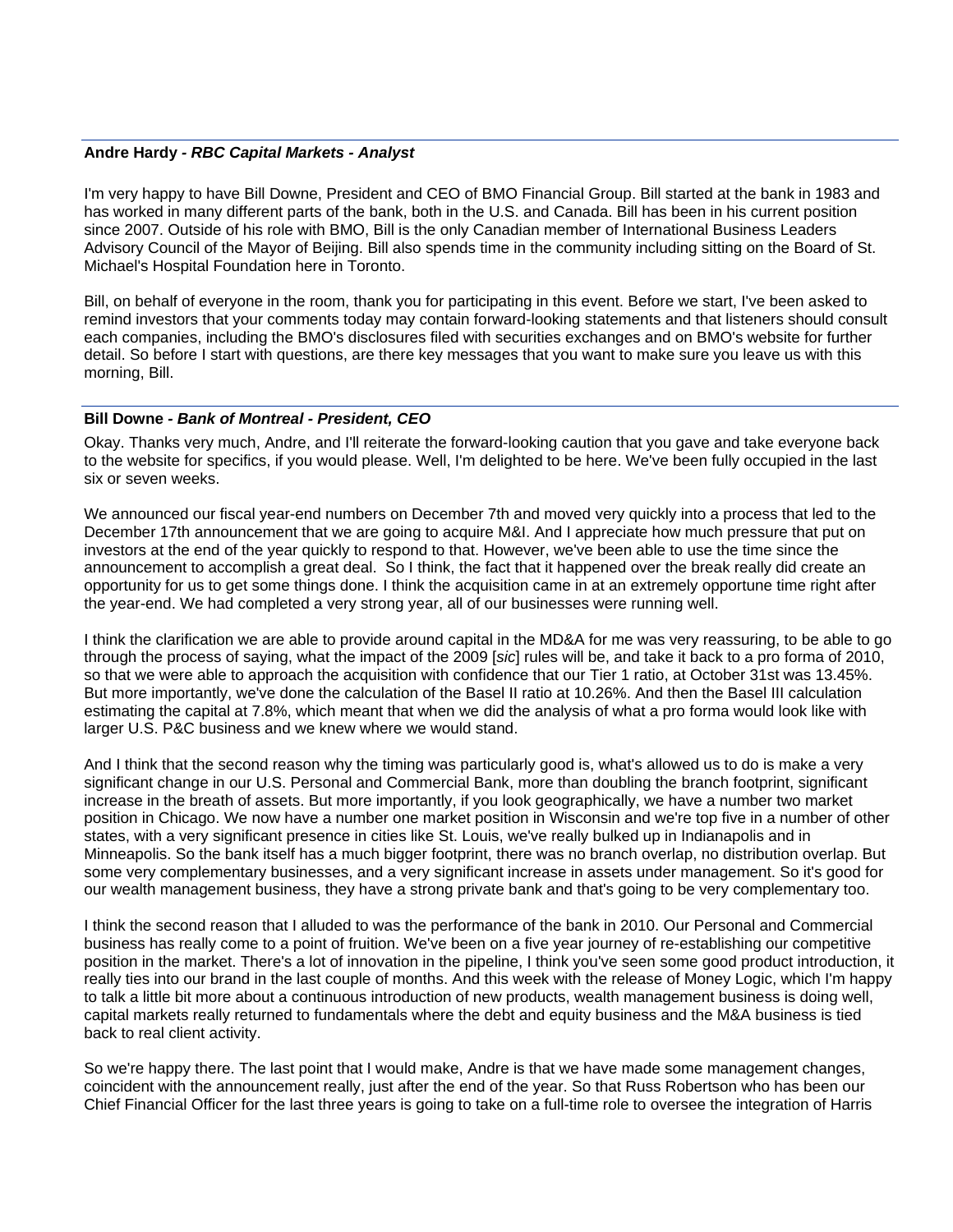#### **Andre Hardy** *- RBC Capital Markets - Analyst*

I'm very happy to have Bill Downe, President and CEO of BMO Financial Group. Bill started at the bank in 1983 and has worked in many different parts of the bank, both in the U.S. and Canada. Bill has been in his current position since 2007. Outside of his role with BMO, Bill is the only Canadian member of International Business Leaders Advisory Council of the Mayor of Beijing. Bill also spends time in the community including sitting on the Board of St. Michael's Hospital Foundation here in Toronto.

Bill, on behalf of everyone in the room, thank you for participating in this event. Before we start, I've been asked to remind investors that your comments today may contain forward-looking statements and that listeners should consult each companies, including the BMO's disclosures filed with securities exchanges and on BMO's website for further detail. So before I start with questions, are there key messages that you want to make sure you leave us with this morning, Bill.

#### **Bill Downe** *- Bank of Montreal - President, CEO*

Okay. Thanks very much, Andre, and I'll reiterate the forward-looking caution that you gave and take everyone back to the website for specifics, if you would please. Well, I'm delighted to be here. We've been fully occupied in the last six or seven weeks.

We announced our fiscal year-end numbers on December 7th and moved very quickly into a process that led to the December 17th announcement that we are going to acquire M&I. And I appreciate how much pressure that put on investors at the end of the year quickly to respond to that. However, we've been able to use the time since the announcement to accomplish a great deal. So I think, the fact that it happened over the break really did create an opportunity for us to get some things done. I think the acquisition came in at an extremely opportune time right after the year-end. We had completed a very strong year, all of our businesses were running well.

I think the clarification we are able to provide around capital in the MD&A for me was very reassuring, to be able to go through the process of saying, what the impact of the 2009 [*sic*] rules will be, and take it back to a pro forma of 2010, so that we were able to approach the acquisition with confidence that our Tier 1 ratio, at October 31st was 13.45%. But more importantly, we've done the calculation of the Basel II ratio at 10.26%. And then the Basel III calculation estimating the capital at 7.8%, which meant that when we did the analysis of what a pro forma would look like with larger U.S. P&C business and we knew where we would stand.

And I think that the second reason why the timing was particularly good is, what's allowed us to do is make a very significant change in our U.S. Personal and Commercial Bank, more than doubling the branch footprint, significant increase in the breath of assets. But more importantly, if you look geographically, we have a number two market position in Chicago. We now have a number one market position in Wisconsin and we're top five in a number of other states, with a very significant presence in cities like St. Louis, we've really bulked up in Indianapolis and in Minneapolis. So the bank itself has a much bigger footprint, there was no branch overlap, no distribution overlap. But some very complementary businesses, and a very significant increase in assets under management. So it's good for our wealth management business, they have a strong private bank and that's going to be very complementary too.

I think the second reason that I alluded to was the performance of the bank in 2010. Our Personal and Commercial business has really come to a point of fruition. We've been on a five year journey of re-establishing our competitive position in the market. There's a lot of innovation in the pipeline, I think you've seen some good product introduction, it really ties into our brand in the last couple of months. And this week with the release of Money Logic, which I'm happy to talk a little bit more about a continuous introduction of new products, wealth management business is doing well, capital markets really returned to fundamentals where the debt and equity business and the M&A business is tied back to real client activity.

So we're happy there. The last point that I would make, Andre is that we have made some management changes, coincident with the announcement really, just after the end of the year. So that Russ Robertson who has been our Chief Financial Officer for the last three years is going to take on a full-time role to oversee the integration of Harris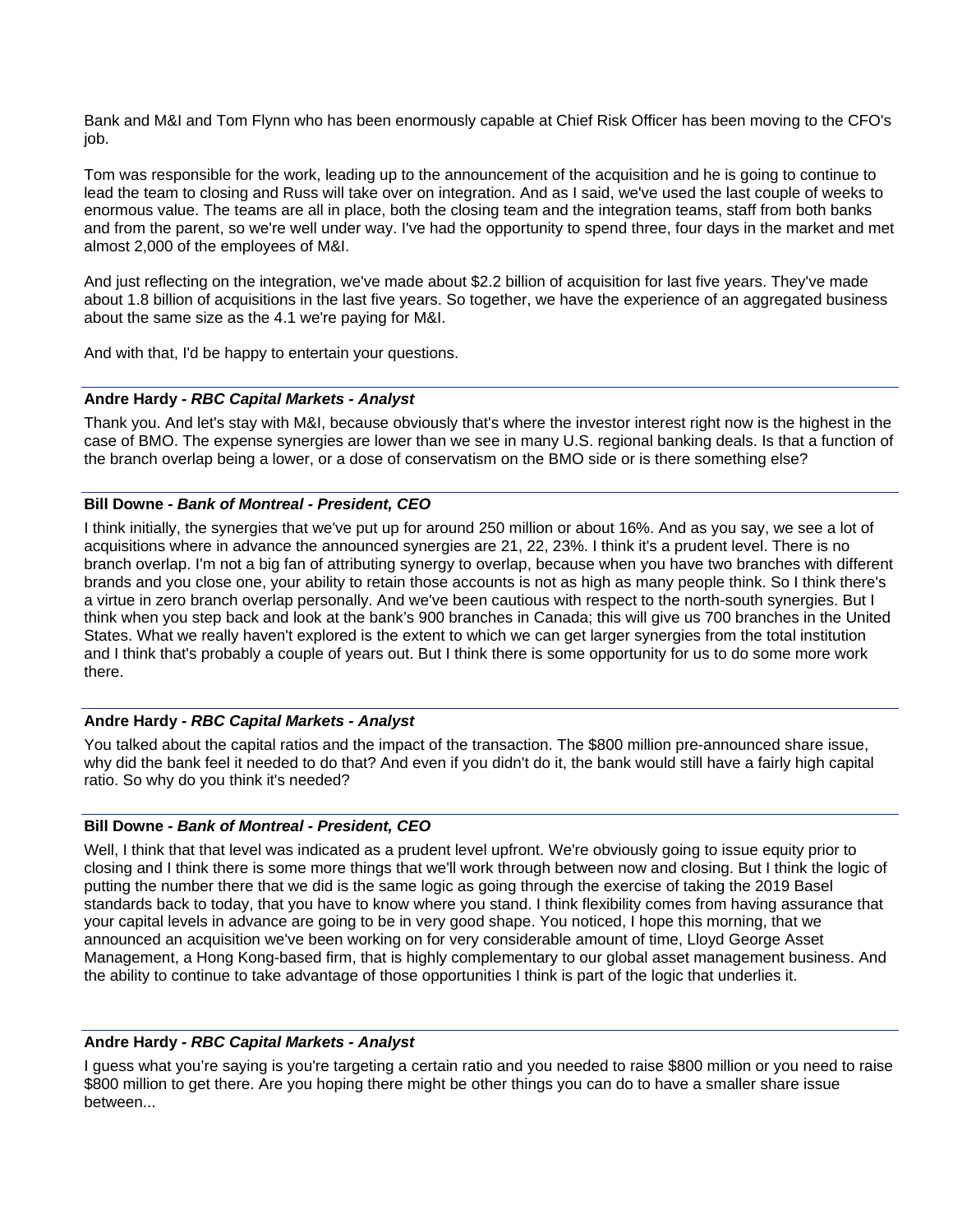Bank and M&I and Tom Flynn who has been enormously capable at Chief Risk Officer has been moving to the CFO's job.

Tom was responsible for the work, leading up to the announcement of the acquisition and he is going to continue to lead the team to closing and Russ will take over on integration. And as I said, we've used the last couple of weeks to enormous value. The teams are all in place, both the closing team and the integration teams, staff from both banks and from the parent, so we're well under way. I've had the opportunity to spend three, four days in the market and met almost 2,000 of the employees of M&I.

And just reflecting on the integration, we've made about \$2.2 billion of acquisition for last five years. They've made about 1.8 billion of acquisitions in the last five years. So together, we have the experience of an aggregated business about the same size as the 4.1 we're paying for M&I.

And with that, I'd be happy to entertain your questions.

#### **Andre Hardy** *- RBC Capital Markets - Analyst*

Thank you. And let's stay with M&I, because obviously that's where the investor interest right now is the highest in the case of BMO. The expense synergies are lower than we see in many U.S. regional banking deals. Is that a function of the branch overlap being a lower, or a dose of conservatism on the BMO side or is there something else?

## **Bill Downe** *- Bank of Montreal - President, CEO*

I think initially, the synergies that we've put up for around 250 million or about 16%. And as you say, we see a lot of acquisitions where in advance the announced synergies are 21, 22, 23%. I think it's a prudent level. There is no branch overlap. I'm not a big fan of attributing synergy to overlap, because when you have two branches with different brands and you close one, your ability to retain those accounts is not as high as many people think. So I think there's a virtue in zero branch overlap personally. And we've been cautious with respect to the north-south synergies. But I think when you step back and look at the bank's 900 branches in Canada; this will give us 700 branches in the United States. What we really haven't explored is the extent to which we can get larger synergies from the total institution and I think that's probably a couple of years out. But I think there is some opportunity for us to do some more work there.

## **Andre Hardy** *- RBC Capital Markets - Analyst*

You talked about the capital ratios and the impact of the transaction. The \$800 million pre-announced share issue, why did the bank feel it needed to do that? And even if you didn't do it, the bank would still have a fairly high capital ratio. So why do you think it's needed?

#### **Bill Downe** *- Bank of Montreal - President, CEO*

Well, I think that that level was indicated as a prudent level upfront. We're obviously going to issue equity prior to closing and I think there is some more things that we'll work through between now and closing. But I think the logic of putting the number there that we did is the same logic as going through the exercise of taking the 2019 Basel standards back to today, that you have to know where you stand. I think flexibility comes from having assurance that your capital levels in advance are going to be in very good shape. You noticed, I hope this morning, that we announced an acquisition we've been working on for very considerable amount of time, Lloyd George Asset Management, a Hong Kong-based firm, that is highly complementary to our global asset management business. And the ability to continue to take advantage of those opportunities I think is part of the logic that underlies it.

#### **Andre Hardy** *- RBC Capital Markets - Analyst*

I guess what you're saying is you're targeting a certain ratio and you needed to raise \$800 million or you need to raise \$800 million to get there. Are you hoping there might be other things you can do to have a smaller share issue between...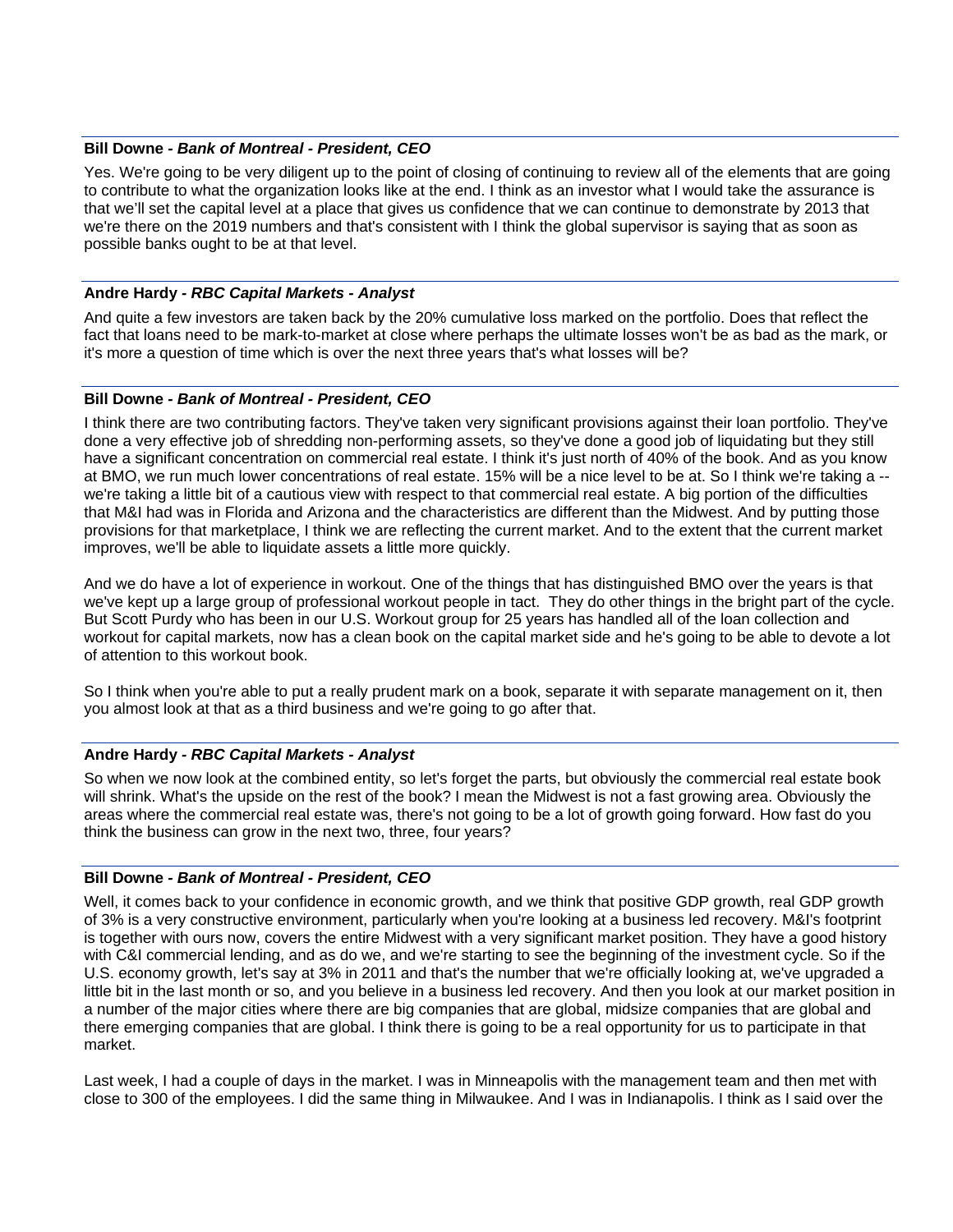#### **Bill Downe** *- Bank of Montreal - President, CEO*

Yes. We're going to be very diligent up to the point of closing of continuing to review all of the elements that are going to contribute to what the organization looks like at the end. I think as an investor what I would take the assurance is that we'll set the capital level at a place that gives us confidence that we can continue to demonstrate by 2013 that we're there on the 2019 numbers and that's consistent with I think the global supervisor is saying that as soon as possible banks ought to be at that level.

#### **Andre Hardy** *- RBC Capital Markets - Analyst*

And quite a few investors are taken back by the 20% cumulative loss marked on the portfolio. Does that reflect the fact that loans need to be mark-to-market at close where perhaps the ultimate losses won't be as bad as the mark, or it's more a question of time which is over the next three years that's what losses will be?

#### **Bill Downe** *- Bank of Montreal - President, CEO*

I think there are two contributing factors. They've taken very significant provisions against their loan portfolio. They've done a very effective job of shredding non-performing assets, so they've done a good job of liquidating but they still have a significant concentration on commercial real estate. I think it's just north of 40% of the book. And as you know at BMO, we run much lower concentrations of real estate. 15% will be a nice level to be at. So I think we're taking a - we're taking a little bit of a cautious view with respect to that commercial real estate. A big portion of the difficulties that M&I had was in Florida and Arizona and the characteristics are different than the Midwest. And by putting those provisions for that marketplace, I think we are reflecting the current market. And to the extent that the current market improves, we'll be able to liquidate assets a little more quickly.

And we do have a lot of experience in workout. One of the things that has distinguished BMO over the years is that we've kept up a large group of professional workout people in tact. They do other things in the bright part of the cycle. But Scott Purdy who has been in our U.S. Workout group for 25 years has handled all of the loan collection and workout for capital markets, now has a clean book on the capital market side and he's going to be able to devote a lot of attention to this workout book.

So I think when you're able to put a really prudent mark on a book, separate it with separate management on it, then you almost look at that as a third business and we're going to go after that.

#### **Andre Hardy** *- RBC Capital Markets - Analyst*

So when we now look at the combined entity, so let's forget the parts, but obviously the commercial real estate book will shrink. What's the upside on the rest of the book? I mean the Midwest is not a fast growing area. Obviously the areas where the commercial real estate was, there's not going to be a lot of growth going forward. How fast do you think the business can grow in the next two, three, four years?

#### **Bill Downe** *- Bank of Montreal - President, CEO*

Well, it comes back to your confidence in economic growth, and we think that positive GDP growth, real GDP growth of 3% is a very constructive environment, particularly when you're looking at a business led recovery. M&I's footprint is together with ours now, covers the entire Midwest with a very significant market position. They have a good history with C&I commercial lending, and as do we, and we're starting to see the beginning of the investment cycle. So if the U.S. economy growth, let's say at 3% in 2011 and that's the number that we're officially looking at, we've upgraded a little bit in the last month or so, and you believe in a business led recovery. And then you look at our market position in a number of the major cities where there are big companies that are global, midsize companies that are global and there emerging companies that are global. I think there is going to be a real opportunity for us to participate in that market.

Last week, I had a couple of days in the market. I was in Minneapolis with the management team and then met with close to 300 of the employees. I did the same thing in Milwaukee. And I was in Indianapolis. I think as I said over the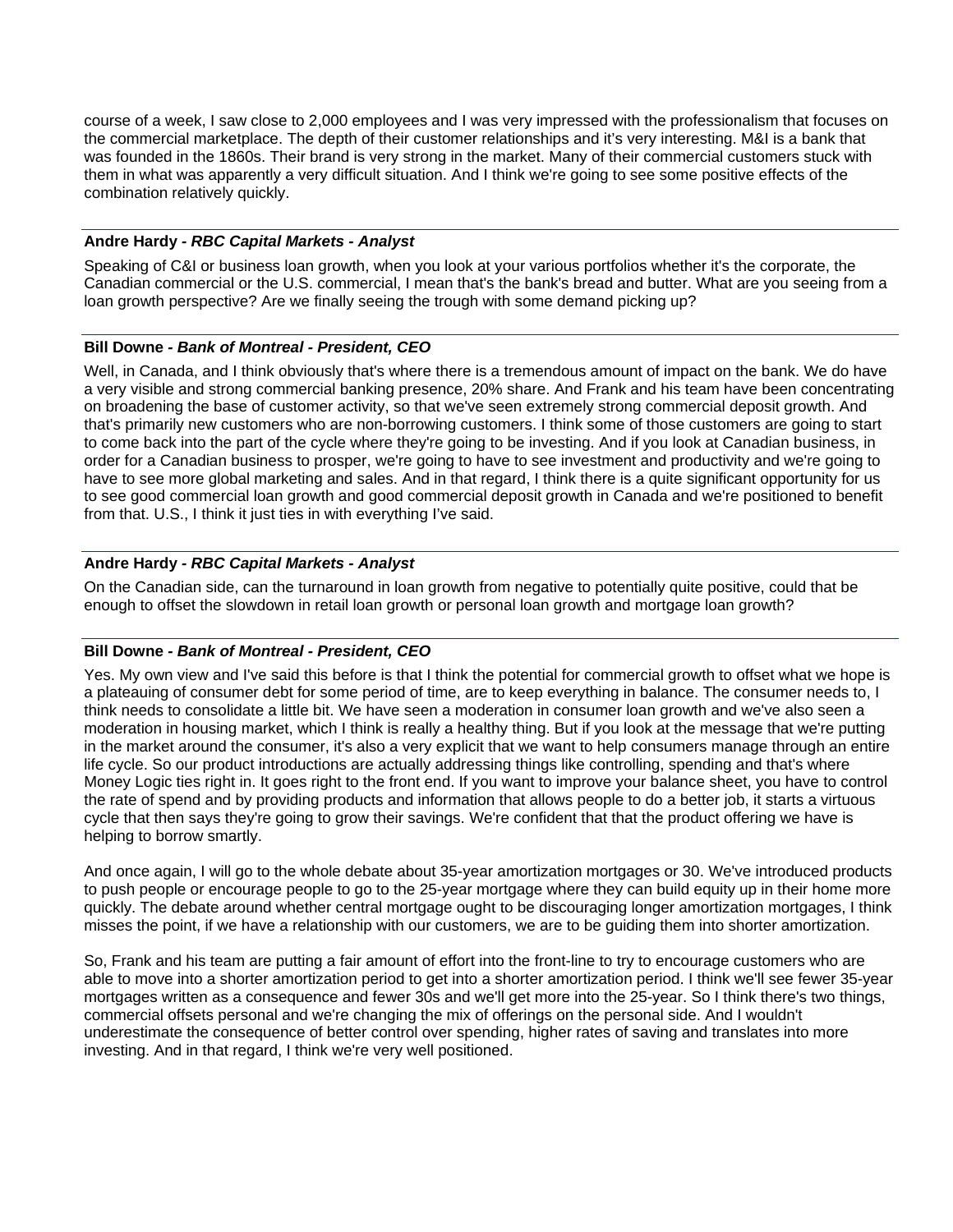course of a week, I saw close to 2,000 employees and I was very impressed with the professionalism that focuses on the commercial marketplace. The depth of their customer relationships and it's very interesting. M&I is a bank that was founded in the 1860s. Their brand is very strong in the market. Many of their commercial customers stuck with them in what was apparently a very difficult situation. And I think we're going to see some positive effects of the combination relatively quickly.

# **Andre Hardy** *- RBC Capital Markets - Analyst*

Speaking of C&I or business loan growth, when you look at your various portfolios whether it's the corporate, the Canadian commercial or the U.S. commercial, I mean that's the bank's bread and butter. What are you seeing from a loan growth perspective? Are we finally seeing the trough with some demand picking up?

## **Bill Downe** *- Bank of Montreal - President, CEO*

Well, in Canada, and I think obviously that's where there is a tremendous amount of impact on the bank. We do have a very visible and strong commercial banking presence, 20% share. And Frank and his team have been concentrating on broadening the base of customer activity, so that we've seen extremely strong commercial deposit growth. And that's primarily new customers who are non-borrowing customers. I think some of those customers are going to start to come back into the part of the cycle where they're going to be investing. And if you look at Canadian business, in order for a Canadian business to prosper, we're going to have to see investment and productivity and we're going to have to see more global marketing and sales. And in that regard, I think there is a quite significant opportunity for us to see good commercial loan growth and good commercial deposit growth in Canada and we're positioned to benefit from that. U.S., I think it just ties in with everything I've said.

# **Andre Hardy** *- RBC Capital Markets - Analyst*

On the Canadian side, can the turnaround in loan growth from negative to potentially quite positive, could that be enough to offset the slowdown in retail loan growth or personal loan growth and mortgage loan growth?

# **Bill Downe** *- Bank of Montreal - President, CEO*

Yes. My own view and I've said this before is that I think the potential for commercial growth to offset what we hope is a plateauing of consumer debt for some period of time, are to keep everything in balance. The consumer needs to, I think needs to consolidate a little bit. We have seen a moderation in consumer loan growth and we've also seen a moderation in housing market, which I think is really a healthy thing. But if you look at the message that we're putting in the market around the consumer, it's also a very explicit that we want to help consumers manage through an entire life cycle. So our product introductions are actually addressing things like controlling, spending and that's where Money Logic ties right in. It goes right to the front end. If you want to improve your balance sheet, you have to control the rate of spend and by providing products and information that allows people to do a better job, it starts a virtuous cycle that then says they're going to grow their savings. We're confident that that the product offering we have is helping to borrow smartly.

And once again, I will go to the whole debate about 35-year amortization mortgages or 30. We've introduced products to push people or encourage people to go to the 25-year mortgage where they can build equity up in their home more quickly. The debate around whether central mortgage ought to be discouraging longer amortization mortgages, I think misses the point, if we have a relationship with our customers, we are to be guiding them into shorter amortization.

So, Frank and his team are putting a fair amount of effort into the front-line to try to encourage customers who are able to move into a shorter amortization period to get into a shorter amortization period. I think we'll see fewer 35-year mortgages written as a consequence and fewer 30s and we'll get more into the 25-year. So I think there's two things, commercial offsets personal and we're changing the mix of offerings on the personal side. And I wouldn't underestimate the consequence of better control over spending, higher rates of saving and translates into more investing. And in that regard, I think we're very well positioned.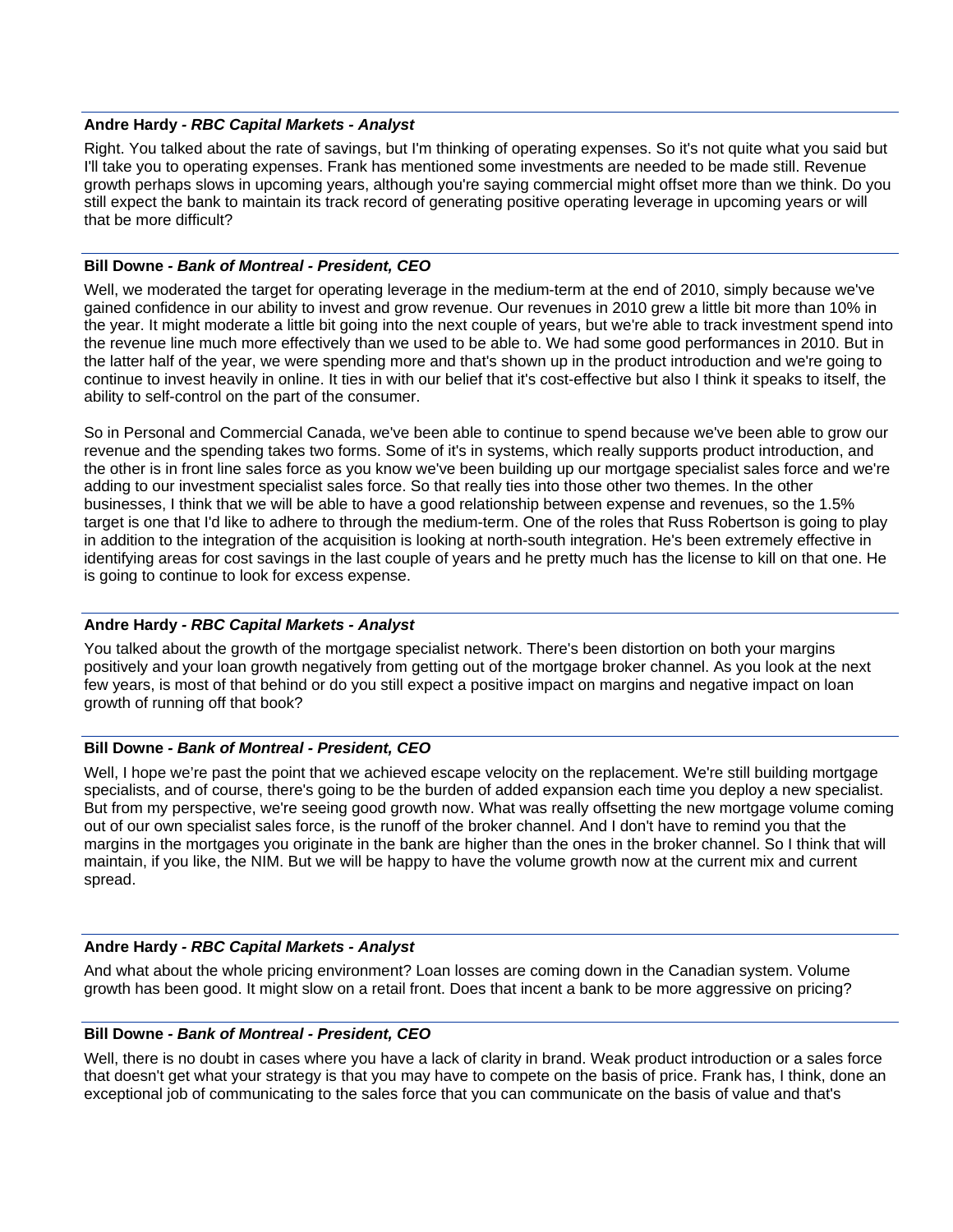#### **Andre Hardy** *- RBC Capital Markets - Analyst*

Right. You talked about the rate of savings, but I'm thinking of operating expenses. So it's not quite what you said but I'll take you to operating expenses. Frank has mentioned some investments are needed to be made still. Revenue growth perhaps slows in upcoming years, although you're saying commercial might offset more than we think. Do you still expect the bank to maintain its track record of generating positive operating leverage in upcoming years or will that be more difficult?

# **Bill Downe** *- Bank of Montreal - President, CEO*

Well, we moderated the target for operating leverage in the medium-term at the end of 2010, simply because we've gained confidence in our ability to invest and grow revenue. Our revenues in 2010 grew a little bit more than 10% in the year. It might moderate a little bit going into the next couple of years, but we're able to track investment spend into the revenue line much more effectively than we used to be able to. We had some good performances in 2010. But in the latter half of the year, we were spending more and that's shown up in the product introduction and we're going to continue to invest heavily in online. It ties in with our belief that it's cost-effective but also I think it speaks to itself, the ability to self-control on the part of the consumer.

So in Personal and Commercial Canada, we've been able to continue to spend because we've been able to grow our revenue and the spending takes two forms. Some of it's in systems, which really supports product introduction, and the other is in front line sales force as you know we've been building up our mortgage specialist sales force and we're adding to our investment specialist sales force. So that really ties into those other two themes. In the other businesses, I think that we will be able to have a good relationship between expense and revenues, so the 1.5% target is one that I'd like to adhere to through the medium-term. One of the roles that Russ Robertson is going to play in addition to the integration of the acquisition is looking at north-south integration. He's been extremely effective in identifying areas for cost savings in the last couple of years and he pretty much has the license to kill on that one. He is going to continue to look for excess expense.

# **Andre Hardy** *- RBC Capital Markets - Analyst*

You talked about the growth of the mortgage specialist network. There's been distortion on both your margins positively and your loan growth negatively from getting out of the mortgage broker channel. As you look at the next few years, is most of that behind or do you still expect a positive impact on margins and negative impact on loan growth of running off that book?

#### **Bill Downe** *- Bank of Montreal - President, CEO*

Well, I hope we're past the point that we achieved escape velocity on the replacement. We're still building mortgage specialists, and of course, there's going to be the burden of added expansion each time you deploy a new specialist. But from my perspective, we're seeing good growth now. What was really offsetting the new mortgage volume coming out of our own specialist sales force, is the runoff of the broker channel. And I don't have to remind you that the margins in the mortgages you originate in the bank are higher than the ones in the broker channel. So I think that will maintain, if you like, the NIM. But we will be happy to have the volume growth now at the current mix and current spread.

# **Andre Hardy** *- RBC Capital Markets - Analyst*

And what about the whole pricing environment? Loan losses are coming down in the Canadian system. Volume growth has been good. It might slow on a retail front. Does that incent a bank to be more aggressive on pricing?

#### **Bill Downe** *- Bank of Montreal - President, CEO*

Well, there is no doubt in cases where you have a lack of clarity in brand. Weak product introduction or a sales force that doesn't get what your strategy is that you may have to compete on the basis of price. Frank has, I think, done an exceptional job of communicating to the sales force that you can communicate on the basis of value and that's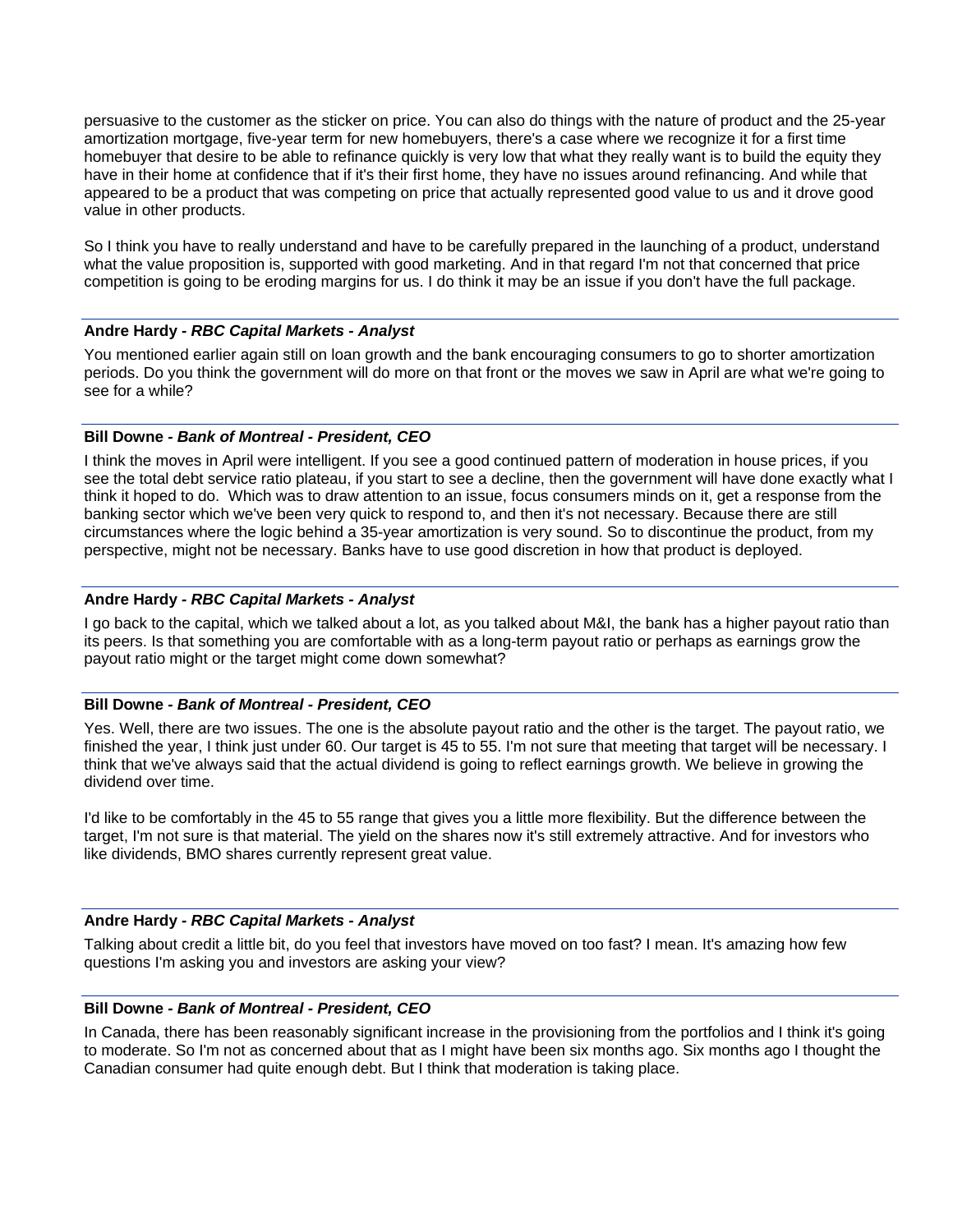persuasive to the customer as the sticker on price. You can also do things with the nature of product and the 25-year amortization mortgage, five-year term for new homebuyers, there's a case where we recognize it for a first time homebuyer that desire to be able to refinance quickly is very low that what they really want is to build the equity they have in their home at confidence that if it's their first home, they have no issues around refinancing. And while that appeared to be a product that was competing on price that actually represented good value to us and it drove good value in other products.

So I think you have to really understand and have to be carefully prepared in the launching of a product, understand what the value proposition is, supported with good marketing. And in that regard I'm not that concerned that price competition is going to be eroding margins for us. I do think it may be an issue if you don't have the full package.

## **Andre Hardy** *- RBC Capital Markets - Analyst*

You mentioned earlier again still on loan growth and the bank encouraging consumers to go to shorter amortization periods. Do you think the government will do more on that front or the moves we saw in April are what we're going to see for a while?

## **Bill Downe** *- Bank of Montreal - President, CEO*

I think the moves in April were intelligent. If you see a good continued pattern of moderation in house prices, if you see the total debt service ratio plateau, if you start to see a decline, then the government will have done exactly what I think it hoped to do. Which was to draw attention to an issue, focus consumers minds on it, get a response from the banking sector which we've been very quick to respond to, and then it's not necessary. Because there are still circumstances where the logic behind a 35-year amortization is very sound. So to discontinue the product, from my perspective, might not be necessary. Banks have to use good discretion in how that product is deployed.

## **Andre Hardy** *- RBC Capital Markets - Analyst*

I go back to the capital, which we talked about a lot, as you talked about M&I, the bank has a higher payout ratio than its peers. Is that something you are comfortable with as a long-term payout ratio or perhaps as earnings grow the payout ratio might or the target might come down somewhat?

# **Bill Downe** *- Bank of Montreal - President, CEO*

Yes. Well, there are two issues. The one is the absolute payout ratio and the other is the target. The payout ratio, we finished the year, I think just under 60. Our target is 45 to 55. I'm not sure that meeting that target will be necessary. I think that we've always said that the actual dividend is going to reflect earnings growth. We believe in growing the dividend over time.

I'd like to be comfortably in the 45 to 55 range that gives you a little more flexibility. But the difference between the target, I'm not sure is that material. The yield on the shares now it's still extremely attractive. And for investors who like dividends, BMO shares currently represent great value.

#### **Andre Hardy** *- RBC Capital Markets - Analyst*

Talking about credit a little bit, do you feel that investors have moved on too fast? I mean. It's amazing how few questions I'm asking you and investors are asking your view?

#### **Bill Downe** *- Bank of Montreal - President, CEO*

In Canada, there has been reasonably significant increase in the provisioning from the portfolios and I think it's going to moderate. So I'm not as concerned about that as I might have been six months ago. Six months ago I thought the Canadian consumer had quite enough debt. But I think that moderation is taking place.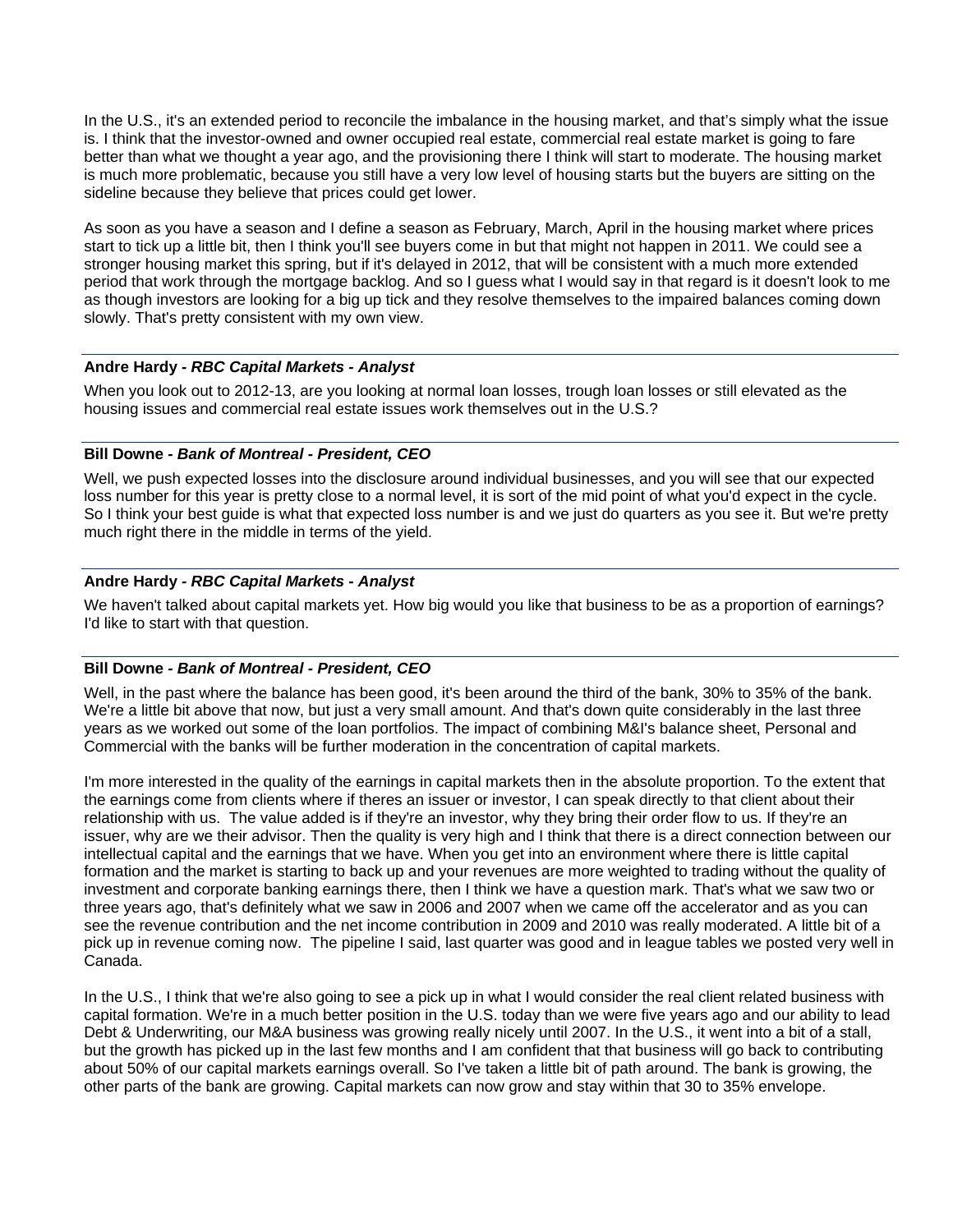In the U.S., it's an extended period to reconcile the imbalance in the housing market, and that's simply what the issue is. I think that the investor-owned and owner occupied real estate, commercial real estate market is going to fare better than what we thought a year ago, and the provisioning there I think will start to moderate. The housing market is much more problematic, because you still have a very low level of housing starts but the buyers are sitting on the sideline because they believe that prices could get lower.

As soon as you have a season and I define a season as February, March, April in the housing market where prices start to tick up a little bit, then I think you'll see buyers come in but that might not happen in 2011. We could see a stronger housing market this spring, but if it's delayed in 2012, that will be consistent with a much more extended period that work through the mortgage backlog. And so I guess what I would say in that regard is it doesn't look to me as though investors are looking for a big up tick and they resolve themselves to the impaired balances coming down slowly. That's pretty consistent with my own view.

## **Andre Hardy** *- RBC Capital Markets - Analyst*

When you look out to 2012-13, are you looking at normal loan losses, trough loan losses or still elevated as the housing issues and commercial real estate issues work themselves out in the U.S.?

#### **Bill Downe** *- Bank of Montreal - President, CEO*

Well, we push expected losses into the disclosure around individual businesses, and you will see that our expected loss number for this year is pretty close to a normal level, it is sort of the mid point of what you'd expect in the cycle. So I think your best guide is what that expected loss number is and we just do quarters as you see it. But we're pretty much right there in the middle in terms of the yield.

## **Andre Hardy** *- RBC Capital Markets - Analyst*

We haven't talked about capital markets yet. How big would you like that business to be as a proportion of earnings? I'd like to start with that question.

#### **Bill Downe** *- Bank of Montreal - President, CEO*

Well, in the past where the balance has been good, it's been around the third of the bank, 30% to 35% of the bank. We're a little bit above that now, but just a very small amount. And that's down quite considerably in the last three years as we worked out some of the loan portfolios. The impact of combining M&I's balance sheet, Personal and Commercial with the banks will be further moderation in the concentration of capital markets.

I'm more interested in the quality of the earnings in capital markets then in the absolute proportion. To the extent that the earnings come from clients where if theres an issuer or investor, I can speak directly to that client about their relationship with us. The value added is if they're an investor, why they bring their order flow to us. If they're an issuer, why are we their advisor. Then the quality is very high and I think that there is a direct connection between our intellectual capital and the earnings that we have. When you get into an environment where there is little capital formation and the market is starting to back up and your revenues are more weighted to trading without the quality of investment and corporate banking earnings there, then I think we have a question mark. That's what we saw two or three years ago, that's definitely what we saw in 2006 and 2007 when we came off the accelerator and as you can see the revenue contribution and the net income contribution in 2009 and 2010 was really moderated. A little bit of a pick up in revenue coming now. The pipeline I said, last quarter was good and in league tables we posted very well in Canada.

In the U.S., I think that we're also going to see a pick up in what I would consider the real client related business with capital formation. We're in a much better position in the U.S. today than we were five years ago and our ability to lead Debt & Underwriting, our M&A business was growing really nicely until 2007. In the U.S., it went into a bit of a stall, but the growth has picked up in the last few months and I am confident that that business will go back to contributing about 50% of our capital markets earnings overall. So I've taken a little bit of path around. The bank is growing, the other parts of the bank are growing. Capital markets can now grow and stay within that 30 to 35% envelope.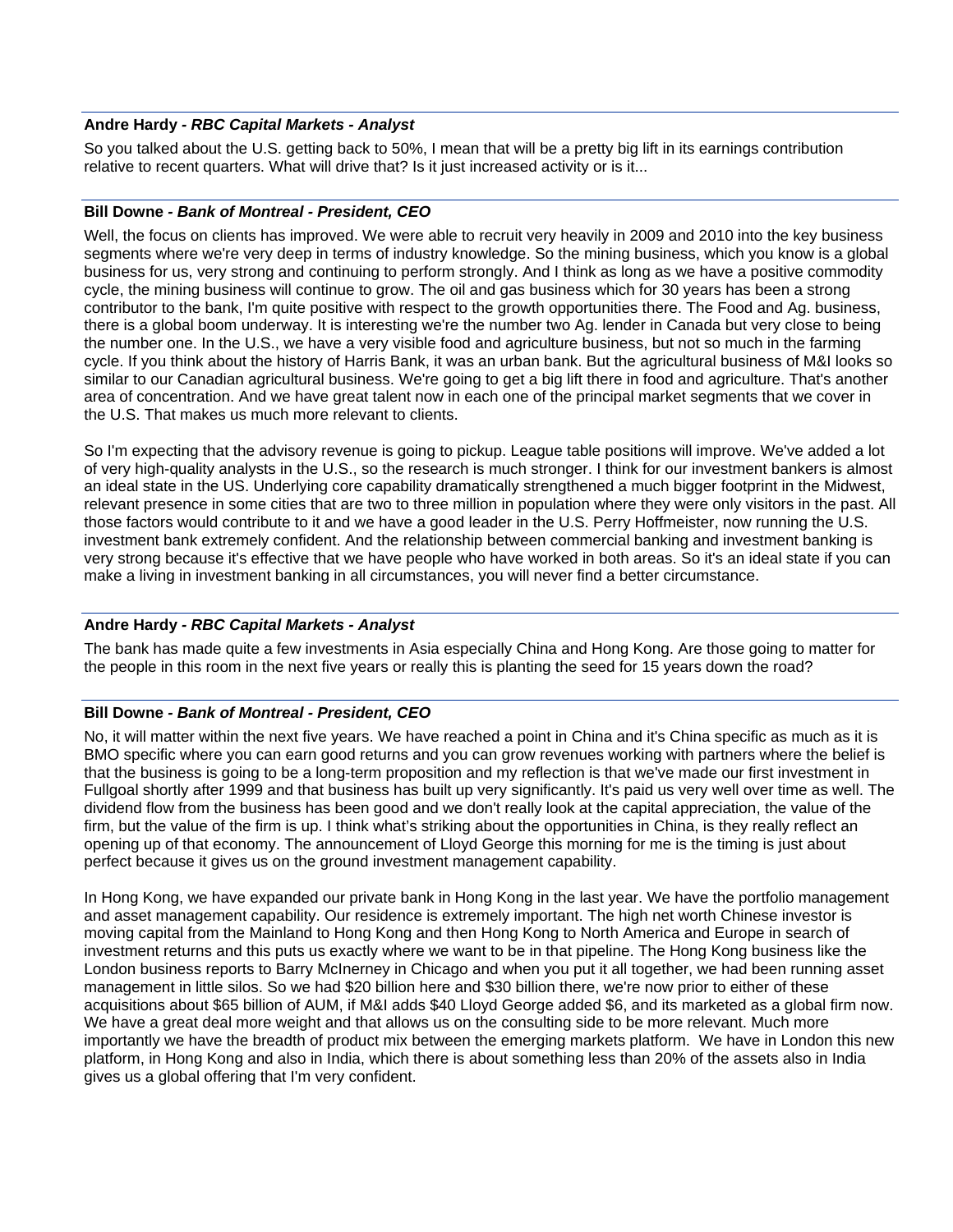## **Andre Hardy** *- RBC Capital Markets - Analyst*

So you talked about the U.S. getting back to 50%, I mean that will be a pretty big lift in its earnings contribution relative to recent quarters. What will drive that? Is it just increased activity or is it...

#### **Bill Downe** *- Bank of Montreal - President, CEO*

Well, the focus on clients has improved. We were able to recruit very heavily in 2009 and 2010 into the key business segments where we're very deep in terms of industry knowledge. So the mining business, which you know is a global business for us, very strong and continuing to perform strongly. And I think as long as we have a positive commodity cycle, the mining business will continue to grow. The oil and gas business which for 30 years has been a strong contributor to the bank, I'm quite positive with respect to the growth opportunities there. The Food and Ag. business, there is a global boom underway. It is interesting we're the number two Ag. lender in Canada but very close to being the number one. In the U.S., we have a very visible food and agriculture business, but not so much in the farming cycle. If you think about the history of Harris Bank, it was an urban bank. But the agricultural business of M&I looks so similar to our Canadian agricultural business. We're going to get a big lift there in food and agriculture. That's another area of concentration. And we have great talent now in each one of the principal market segments that we cover in the U.S. That makes us much more relevant to clients.

So I'm expecting that the advisory revenue is going to pickup. League table positions will improve. We've added a lot of very high-quality analysts in the U.S., so the research is much stronger. I think for our investment bankers is almost an ideal state in the US. Underlying core capability dramatically strengthened a much bigger footprint in the Midwest, relevant presence in some cities that are two to three million in population where they were only visitors in the past. All those factors would contribute to it and we have a good leader in the U.S. Perry Hoffmeister, now running the U.S. investment bank extremely confident. And the relationship between commercial banking and investment banking is very strong because it's effective that we have people who have worked in both areas. So it's an ideal state if you can make a living in investment banking in all circumstances, you will never find a better circumstance.

#### **Andre Hardy** *- RBC Capital Markets - Analyst*

The bank has made quite a few investments in Asia especially China and Hong Kong. Are those going to matter for the people in this room in the next five years or really this is planting the seed for 15 years down the road?

#### **Bill Downe** *- Bank of Montreal - President, CEO*

No, it will matter within the next five years. We have reached a point in China and it's China specific as much as it is BMO specific where you can earn good returns and you can grow revenues working with partners where the belief is that the business is going to be a long-term proposition and my reflection is that we've made our first investment in Fullgoal shortly after 1999 and that business has built up very significantly. It's paid us very well over time as well. The dividend flow from the business has been good and we don't really look at the capital appreciation, the value of the firm, but the value of the firm is up. I think what's striking about the opportunities in China, is they really reflect an opening up of that economy. The announcement of Lloyd George this morning for me is the timing is just about perfect because it gives us on the ground investment management capability.

In Hong Kong, we have expanded our private bank in Hong Kong in the last year. We have the portfolio management and asset management capability. Our residence is extremely important. The high net worth Chinese investor is moving capital from the Mainland to Hong Kong and then Hong Kong to North America and Europe in search of investment returns and this puts us exactly where we want to be in that pipeline. The Hong Kong business like the London business reports to Barry McInerney in Chicago and when you put it all together, we had been running asset management in little silos. So we had \$20 billion here and \$30 billion there, we're now prior to either of these acquisitions about \$65 billion of AUM, if M&I adds \$40 Lloyd George added \$6, and its marketed as a global firm now. We have a great deal more weight and that allows us on the consulting side to be more relevant. Much more importantly we have the breadth of product mix between the emerging markets platform. We have in London this new platform, in Hong Kong and also in India, which there is about something less than 20% of the assets also in India gives us a global offering that I'm very confident.